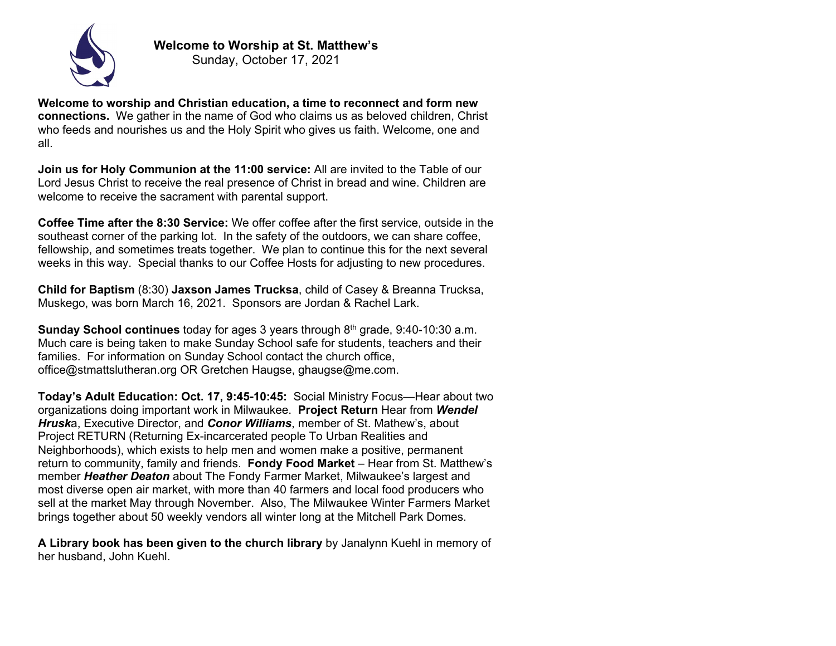

**Welcome to worship and Christian education, a time to reconnect and form new connections.** We gather in the name of God who claims us as beloved children, Christ who feeds and nourishes us and the Holy Spirit who gives us faith. Welcome, one and all.

**Join us for Holy Communion at the 11:00 service:** All are invited to the Table of our Lord Jesus Christ to receive the real presence of Christ in bread and wine. Children are welcome to receive the sacrament with parental support.

**Coffee Time after the 8:30 Service:** We offer coffee after the first service, outside in the southeast corner of the parking lot. In the safety of the outdoors, we can share coffee, fellowship, and sometimes treats together. We plan to continue this for the next several weeks in this way. Special thanks to our Coffee Hosts for adjusting to new procedures.

**Child for Baptism** (8:30) **Jaxson James Trucksa**, child of Casey & Breanna Trucksa, Muskego, was born March 16, 2021. Sponsors are Jordan & Rachel Lark.

**Sunday School continues** today for ages 3 years through 8th grade, 9:40-10:30 a.m. Much care is being taken to make Sunday School safe for students, teachers and their families. For information on Sunday School contact the church office, office@stmattslutheran.org OR Gretchen Haugse, ghaugse@me.com.

**Today's Adult Education: Oct. 17, 9:45-10:45:** Social Ministry Focus—Hear about two organizations doing important work in Milwaukee. **Project Return** Hear from *Wendel Hrusk*a, Executive Director, and *Conor Williams*, member of St. Mathew's, about Project RETURN (Returning Ex-incarcerated people To Urban Realities and Neighborhoods), which exists to help men and women make a positive, permanent return to community, family and friends. **Fondy Food Market** – Hear from St. Matthew's member *Heather Deaton* about The Fondy Farmer Market, Milwaukee's largest and most diverse open air market, with more than 40 farmers and local food producers who sell at the market May through November. Also, The Milwaukee Winter Farmers Market brings together about 50 weekly vendors all winter long at the Mitchell Park Domes.

**A Library book has been given to the church library** by Janalynn Kuehl in memory of her husband, John Kuehl.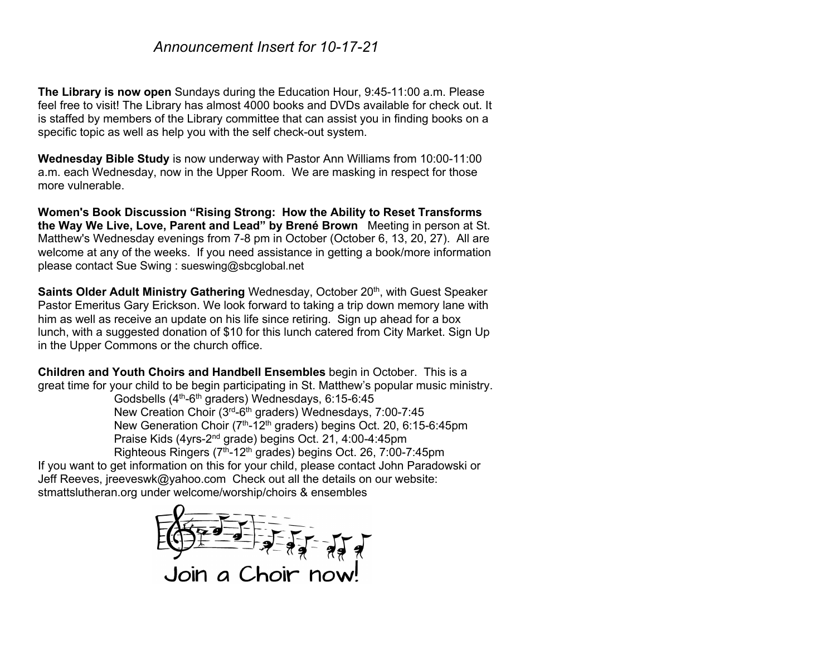## *Announcement Insert for 10-17-21*

**The Library is now open** Sundays during the Education Hour, 9:45-11:00 a.m. Please feel free to visit! The Library has almost 4000 books and DVDs available for check out. It is staffed by members of the Library committee that can assist you in finding books on a specific topic as well as help you with the self check-out system.

**Wednesday Bible Study** is now underway with Pastor Ann Williams from 10:00-11:00 a.m. each Wednesday, now in the Upper Room. We are masking in respect for those more vulnerable.

**Women's Book Discussion "Rising Strong: How the Ability to Reset Transforms the Way We Live, Love, Parent and Lead" by Brené Brown** Meeting in person at St. Matthew's Wednesday evenings from 7-8 pm in October (October 6, 13, 20, 27). All are welcome at any of the weeks. If you need assistance in getting a book/more information please contact Sue Swing : sueswing@sbcglobal.net

**Saints Older Adult Ministry Gathering** Wednesday, October 20<sup>th</sup>, with Guest Speaker Pastor Emeritus Gary Erickson. We look forward to taking a trip down memory lane with him as well as receive an update on his life since retiring. Sign up ahead for a box lunch, with a suggested donation of \$10 for this lunch catered from City Market. Sign Up in the Upper Commons or the church office.

**Children and Youth Choirs and Handbell Ensembles** begin in October. This is a great time for your child to be begin participating in St. Matthew's popular music ministry.

Godsbells (4<sup>th</sup>-6<sup>th</sup> graders) Wednesdays, 6:15-6:45 New Creation Choir (3rd-6th graders) Wednesdays, 7:00-7:45 New Generation Choir (7<sup>th</sup>-12<sup>th</sup> graders) begins Oct. 20, 6:15-6:45pm Praise Kids (4yrs-2nd grade) begins Oct. 21, 4:00-4:45pm Righteous Ringers  $(7<sup>th</sup>-12<sup>th</sup>$  grades) begins Oct. 26, 7:00-7:45pm

If you want to get information on this for your child, please contact John Paradowski or Jeff Reeves, jreeveswk@yahoo.com Check out all the details on our website: stmattslutheran.org under welcome/worship/choirs & ensembles

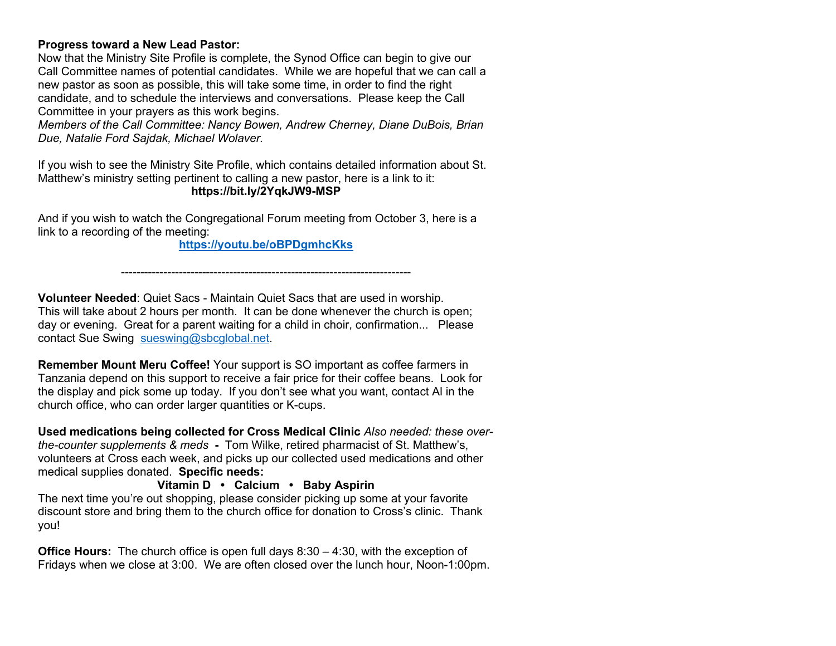## **Progress toward a New Lead Pastor:**

Now that the Ministry Site Profile is complete, the Synod Office can begin to give our Call Committee names of potential candidates. While we are hopeful that we can call a new pastor as soon as possible, this will take some time, in order to find the right candidate, and to schedule the interviews and conversations. Please keep the Call Committee in your prayers as this work begins.

*Members of the Call Committee: Nancy Bowen, Andrew Cherney, Diane DuBois, Brian Due, Natalie Ford Sajdak, Michael Wolaver.*

If you wish to see the Ministry Site Profile, which contains detailed information about St. Matthew's ministry setting pertinent to calling a new pastor, here is a link to it: **https://bit.ly/2YqkJW9-MSP**

And if you wish to watch the Congregational Forum meeting from October 3, here is a link to a recording of the meeting:

**https://youtu.be/oBPDgmhcKks**

---------------------------------------------------------------------------

**Volunteer Needed**: Quiet Sacs - Maintain Quiet Sacs that are used in worship. This will take about 2 hours per month. It can be done whenever the church is open; day or evening. Great for a parent waiting for a child in choir, confirmation... Please contact Sue Swing sueswing@sbcglobal.net.

**Remember Mount Meru Coffee!** Your support is SO important as coffee farmers in Tanzania depend on this support to receive a fair price for their coffee beans. Look for the display and pick some up today. If you don't see what you want, contact Al in the church office, who can order larger quantities or K-cups.

**Used medications being collected for Cross Medical Clinic** *Also needed: these overthe-counter supplements & meds* **-** Tom Wilke, retired pharmacist of St. Matthew's, volunteers at Cross each week, and picks up our collected used medications and other medical supplies donated. **Specific needs:**

**Vitamin D • Calcium • Baby Aspirin** The next time you're out shopping, please consider picking up some at your favorite discount store and bring them to the church office for donation to Cross's clinic. Thank you!

**Office Hours:** The church office is open full days 8:30 – 4:30, with the exception of Fridays when we close at 3:00. We are often closed over the lunch hour, Noon-1:00pm.